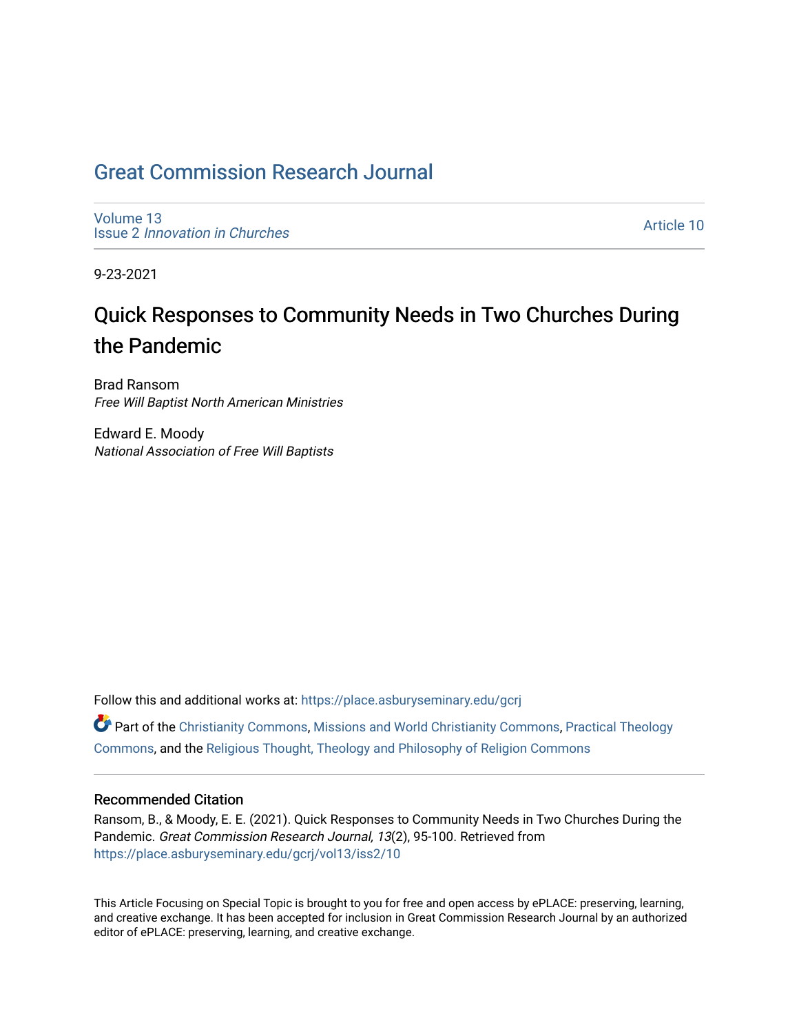## [Great Commission Research Journal](https://place.asburyseminary.edu/gcrj)

[Volume 13](https://place.asburyseminary.edu/gcrj/vol13) Issue 2 [Innovation in Churches](https://place.asburyseminary.edu/gcrj/vol13/iss2)

[Article 10](https://place.asburyseminary.edu/gcrj/vol13/iss2/10) 

9-23-2021

# Quick Responses to Community Needs in Two Churches During the Pandemic

Brad Ransom Free Will Baptist North American Ministries

Edward E. Moody National Association of Free Will Baptists

Follow this and additional works at: [https://place.asburyseminary.edu/gcrj](https://place.asburyseminary.edu/gcrj?utm_source=place.asburyseminary.edu%2Fgcrj%2Fvol13%2Fiss2%2F10&utm_medium=PDF&utm_campaign=PDFCoverPages) 

 $\bullet$  Part of the [Christianity Commons,](http://network.bepress.com/hgg/discipline/1181?utm_source=place.asburyseminary.edu%2Fgcrj%2Fvol13%2Fiss2%2F10&utm_medium=PDF&utm_campaign=PDFCoverPages) [Missions and World Christianity Commons](http://network.bepress.com/hgg/discipline/1187?utm_source=place.asburyseminary.edu%2Fgcrj%2Fvol13%2Fiss2%2F10&utm_medium=PDF&utm_campaign=PDFCoverPages), Practical Theology [Commons](http://network.bepress.com/hgg/discipline/1186?utm_source=place.asburyseminary.edu%2Fgcrj%2Fvol13%2Fiss2%2F10&utm_medium=PDF&utm_campaign=PDFCoverPages), and the [Religious Thought, Theology and Philosophy of Religion Commons](http://network.bepress.com/hgg/discipline/544?utm_source=place.asburyseminary.edu%2Fgcrj%2Fvol13%2Fiss2%2F10&utm_medium=PDF&utm_campaign=PDFCoverPages) 

#### Recommended Citation

Ransom, B., & Moody, E. E. (2021). Quick Responses to Community Needs in Two Churches During the Pandemic. Great Commission Research Journal, 13(2), 95-100. Retrieved from [https://place.asburyseminary.edu/gcrj/vol13/iss2/10](https://place.asburyseminary.edu/gcrj/vol13/iss2/10?utm_source=place.asburyseminary.edu%2Fgcrj%2Fvol13%2Fiss2%2F10&utm_medium=PDF&utm_campaign=PDFCoverPages)

This Article Focusing on Special Topic is brought to you for free and open access by ePLACE: preserving, learning, and creative exchange. It has been accepted for inclusion in Great Commission Research Journal by an authorized editor of ePLACE: preserving, learning, and creative exchange.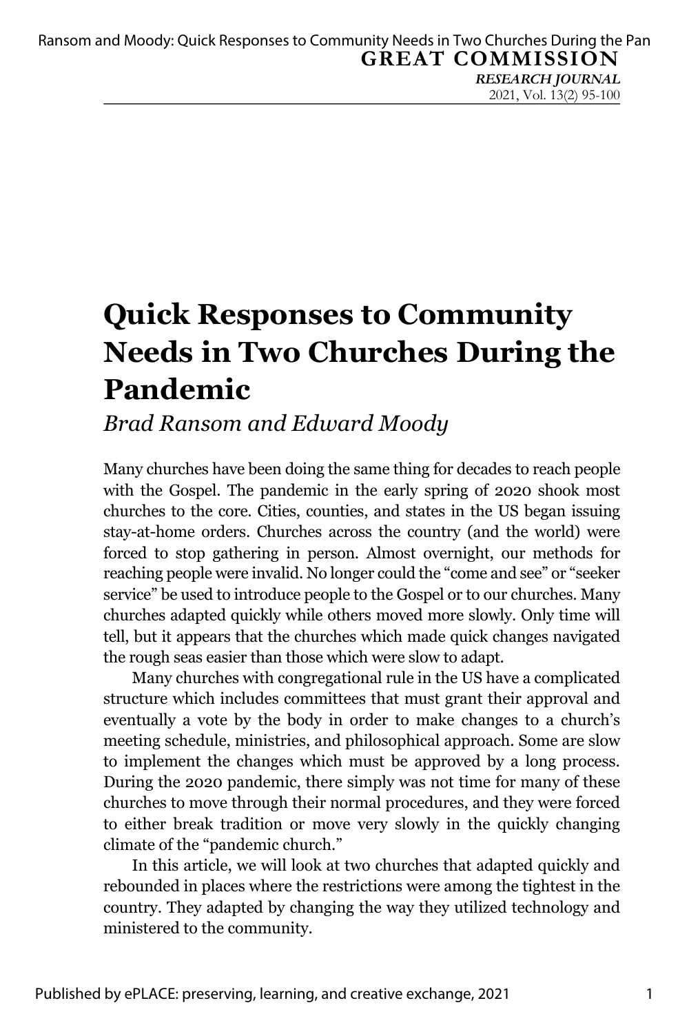*RESEARCH JOURNAL* 2021, Vol. 13(2) 95-100

# **Quick Responses to Community Needs in Two Churches During the Pandemic**

### *Brad Ransom and Edward Moody*

Many churches have been doing the same thing for decades to reach people with the Gospel. The pandemic in the early spring of 2020 shook most churches to the core. Cities, counties, and states in the US began issuing stay-at-home orders. Churches across the country (and the world) were forced to stop gathering in person. Almost overnight, our methods for reaching people were invalid. No longer could the "come and see" or "seeker service" be used to introduce people to the Gospel or to our churches. Many churches adapted quickly while others moved more slowly. Only time will tell, but it appears that the churches which made quick changes navigated the rough seas easier than those which were slow to adapt.

Many churches with congregational rule in the US have a complicated structure which includes committees that must grant their approval and eventually a vote by the body in order to make changes to a church's meeting schedule, ministries, and philosophical approach. Some are slow to implement the changes which must be approved by a long process. During the 2020 pandemic, there simply was not time for many of these churches to move through their normal procedures, and they were forced to either break tradition or move very slowly in the quickly changing climate of the "pandemic church."

In this article, we will look at two churches that adapted quickly and rebounded in places where the restrictions were among the tightest in the country. They adapted by changing the way they utilized technology and ministered to the community.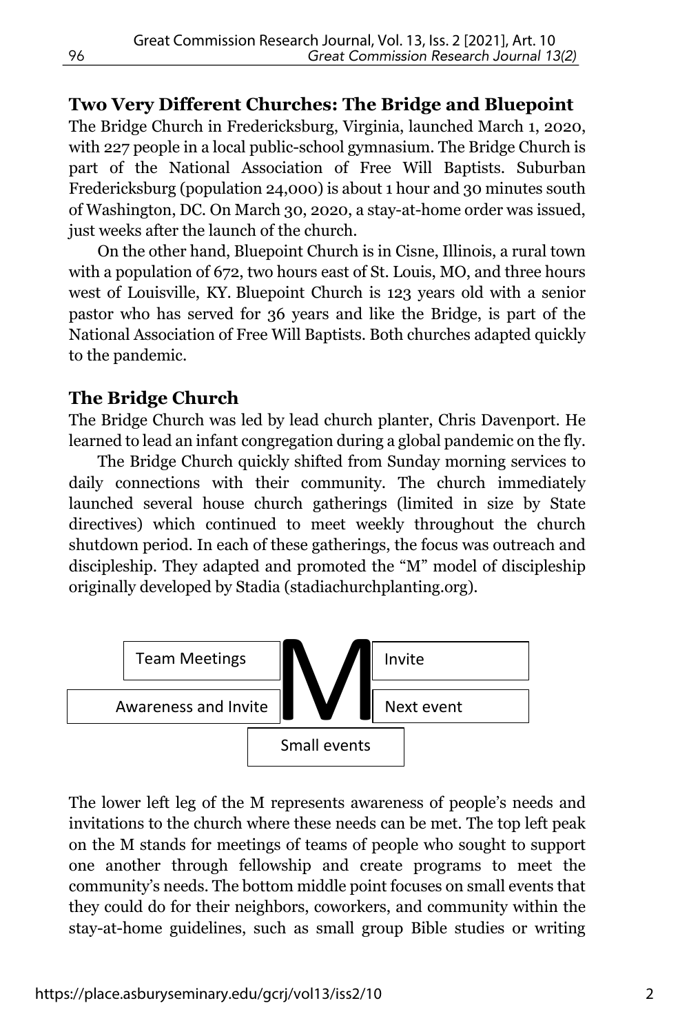**Two Very Different Churches: The Bridge and Bluepoint** The Bridge Church in Fredericksburg, Virginia, launched March 1, 2020, with 227 people in a local public-school gymnasium. The Bridge Church is part of the National Association of Free Will Baptists. Suburban Fredericksburg (population 24,000) is about 1 hour and 30 minutes south of Washington, DC. On March 30, 2020, a stay-at-home order was issued, just weeks after the launch of the church.

On the other hand, Bluepoint Church is in Cisne, Illinois, a rural town with a population of 672, two hours east of St. Louis, MO, and three hours west of Louisville, KY. Bluepoint Church is 123 years old with a senior pastor who has served for 36 years and like the Bridge, is part of the National Association of Free Will Baptists. Both churches adapted quickly to the pandemic.

#### **The Bridge Church**

The Bridge Church was led by lead church planter, Chris Davenport. He learned to lead an infant congregation during a global pandemic on the fly.

The Bridge Church quickly shifted from Sunday morning services to daily connections with their community. The church immediately launched several house church gatherings (limited in size by State directives) which continued to meet weekly throughout the church shutdown period. In each of these gatherings, the focus was outreach and discipleship. They adapted and promoted the "M" model of discipleship originally developed by Stadia (stadiachurchplanting.org).



The lower left leg of the M represents awareness of people's needs and invitations to the church where these needs can be met. The top left peak on the M stands for meetings of teams of people who sought to support one another through fellowship and create programs to meet the community's needs. The bottom middle point focuses on small events that they could do for their neighbors, coworkers, and community within the stay-at-home guidelines, such as small group Bible studies or writing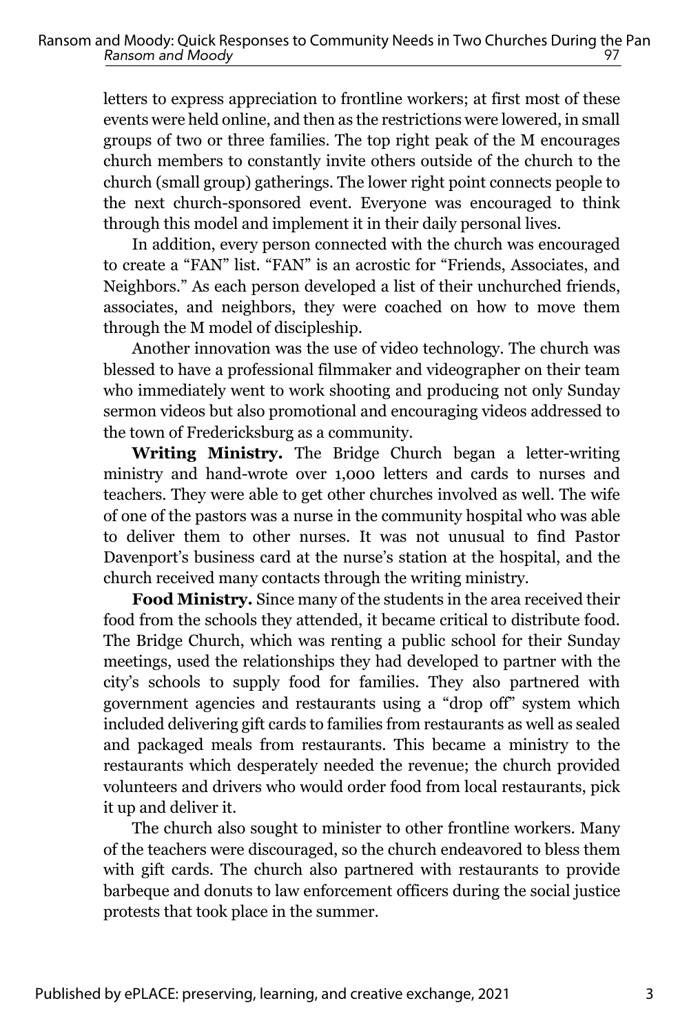letters to express appreciation to frontline workers; at first most of these events were held online, and then as the restrictions were lowered, in small groups of two or three families. The top right peak of the M encourages church members to constantly invite others outside of the church to the church (small group) gatherings. The lower right point connects people to the next church-sponsored event. Everyone was encouraged to think through this model and implement it in their daily personal lives.

In addition, every person connected with the church was encouraged to create a "FAN" list. "FAN" is an acrostic for "Friends, Associates, and Neighbors." As each person developed a list of their unchurched friends, associates, and neighbors, they were coached on how to move them through the M model of discipleship.

Another innovation was the use of video technology. The church was blessed to have a professional filmmaker and videographer on their team who immediately went to work shooting and producing not only Sunday sermon videos but also promotional and encouraging videos addressed to the town of Fredericksburg as a community.

**Writing Ministry.** The Bridge Church began a letter-writing ministry and hand-wrote over 1,000 letters and cards to nurses and teachers. They were able to get other churches involved as well. The wife of one of the pastors was a nurse in the community hospital who was able to deliver them to other nurses. It was not unusual to find Pastor Davenport's business card at the nurse's station at the hospital, and the church received many contacts through the writing ministry.

**Food Ministry.** Since many of the students in the area received their food from the schools they attended, it became critical to distribute food. The Bridge Church, which was renting a public school for their Sunday meetings, used the relationships they had developed to partner with the city's schools to supply food for families. They also partnered with government agencies and restaurants using a "drop off" system which included delivering gift cards to families from restaurants as well as sealed and packaged meals from restaurants. This became a ministry to the restaurants which desperately needed the revenue; the church provided volunteers and drivers who would order food from local restaurants, pick it up and deliver it.

The church also sought to minister to other frontline workers. Many of the teachers were discouraged, so the church endeavored to bless them with gift cards. The church also partnered with restaurants to provide barbeque and donuts to law enforcement officers during the social justice protests that took place in the summer.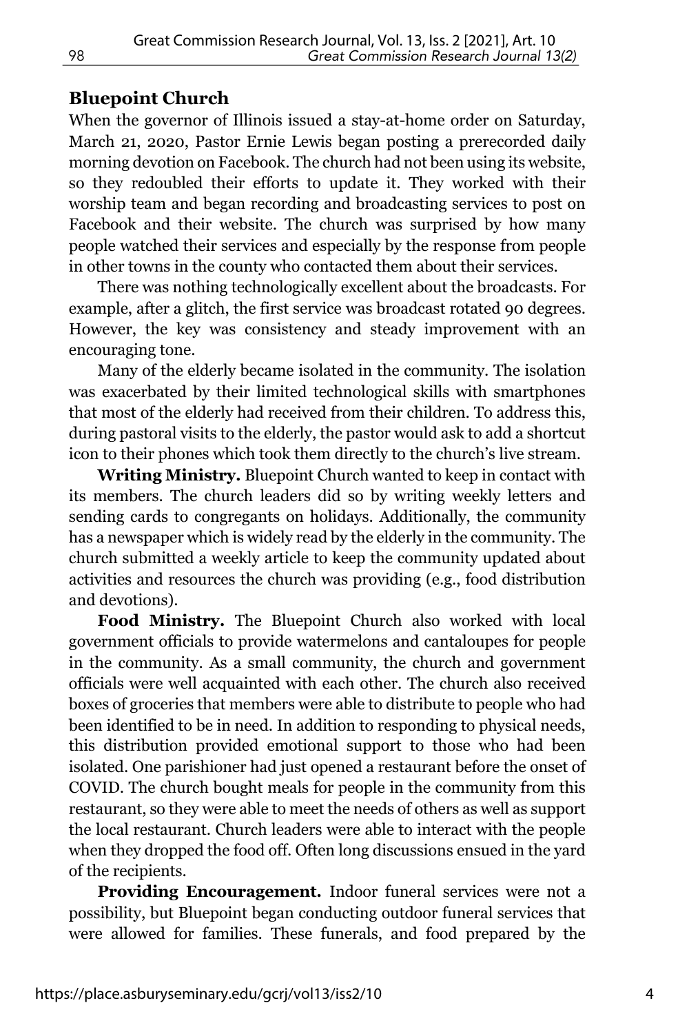#### **Bluepoint Church**

When the governor of Illinois issued a stay-at-home order on Saturday, March 21, 2020, Pastor Ernie Lewis began posting a prerecorded daily morning devotion on Facebook. The church had not been using its website, so they redoubled their efforts to update it. They worked with their worship team and began recording and broadcasting services to post on Facebook and their website. The church was surprised by how many people watched their services and especially by the response from people in other towns in the county who contacted them about their services.

There was nothing technologically excellent about the broadcasts. For example, after a glitch, the first service was broadcast rotated 90 degrees. However, the key was consistency and steady improvement with an encouraging tone.

Many of the elderly became isolated in the community. The isolation was exacerbated by their limited technological skills with smartphones that most of the elderly had received from their children. To address this, during pastoral visits to the elderly, the pastor would ask to add a shortcut icon to their phones which took them directly to the church's live stream.

**Writing Ministry.** Bluepoint Church wanted to keep in contact with its members. The church leaders did so by writing weekly letters and sending cards to congregants on holidays. Additionally, the community has a newspaper which is widely read by the elderly in the community. The church submitted a weekly article to keep the community updated about activities and resources the church was providing (e.g., food distribution and devotions).

**Food Ministry.** The Bluepoint Church also worked with local government officials to provide watermelons and cantaloupes for people in the community. As a small community, the church and government officials were well acquainted with each other. The church also received boxes of groceries that members were able to distribute to people who had been identified to be in need. In addition to responding to physical needs, this distribution provided emotional support to those who had been isolated. One parishioner had just opened a restaurant before the onset of COVID. The church bought meals for people in the community from this restaurant, so they were able to meet the needs of others as well as support the local restaurant. Church leaders were able to interact with the people when they dropped the food off. Often long discussions ensued in the yard of the recipients.

**Providing Encouragement.** Indoor funeral services were not a possibility, but Bluepoint began conducting outdoor funeral services that were allowed for families. These funerals, and food prepared by the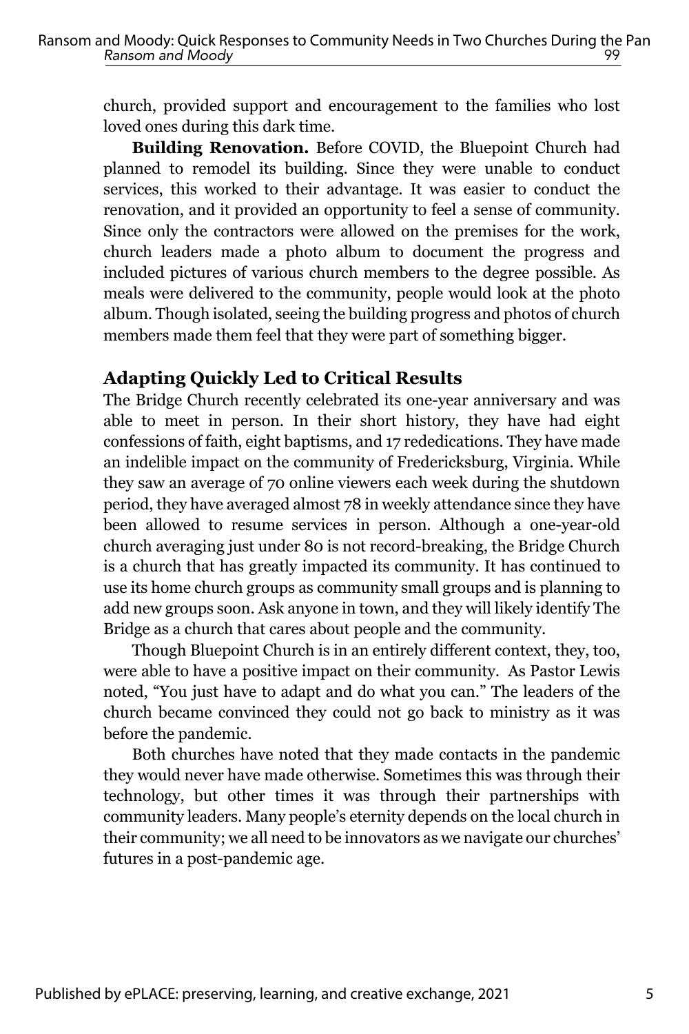church, provided support and encouragement to the families who lost loved ones during this dark time.

**Building Renovation.** Before COVID, the Bluepoint Church had planned to remodel its building. Since they were unable to conduct services, this worked to their advantage. It was easier to conduct the renovation, and it provided an opportunity to feel a sense of community. Since only the contractors were allowed on the premises for the work, church leaders made a photo album to document the progress and included pictures of various church members to the degree possible. As meals were delivered to the community, people would look at the photo album. Though isolated, seeing the building progress and photos of church members made them feel that they were part of something bigger.

#### **Adapting Quickly Led to Critical Results**

The Bridge Church recently celebrated its one-year anniversary and was able to meet in person. In their short history, they have had eight confessions of faith, eight baptisms, and 17 rededications. They have made an indelible impact on the community of Fredericksburg, Virginia. While they saw an average of 70 online viewers each week during the shutdown period, they have averaged almost 78 in weekly attendance since they have been allowed to resume services in person. Although a one-year-old church averaging just under 80 is not record-breaking, the Bridge Church is a church that has greatly impacted its community. It has continued to use its home church groups as community small groups and is planning to add new groups soon. Ask anyone in town, and they will likely identify The Bridge as a church that cares about people and the community.

Though Bluepoint Church is in an entirely different context, they, too, were able to have a positive impact on their community. As Pastor Lewis noted, "You just have to adapt and do what you can." The leaders of the church became convinced they could not go back to ministry as it was before the pandemic.

Both churches have noted that they made contacts in the pandemic they would never have made otherwise. Sometimes this was through their technology, but other times it was through their partnerships with community leaders. Many people's eternity depends on the local church in their community; we all need to be innovators as we navigate our churches' futures in a post-pandemic age.